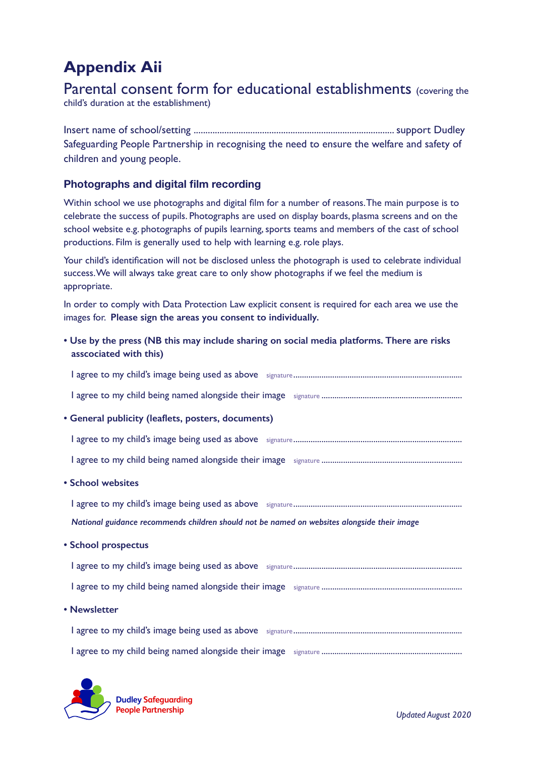## **Appendix Aii**

Parental consent form for educational establishments (covering the child's duration at the establishment)

Insert name of school/setting ..................................................................................... support Dudley Safeguarding People Partnership in recognising the need to ensure the welfare and safety of children and young people.

## **Photographs and digital film recording**

Within school we use photographs and digital film for a number of reasons. The main purpose is to celebrate the success of pupils. Photographs are used on display boards, plasma screens and on the school website e.g. photographs of pupils learning, sports teams and members of the cast of school productions. Film is generally used to help with learning e.g. role plays.

Your child's identification will not be disclosed unless the photograph is used to celebrate individual success. We will always take great care to only show photographs if we feel the medium is appropriate.

In order to comply with Data Protection Law explicit consent is required for each area we use the images for. **Please sign the areas you consent to individually.**

**• Use by the press (NB this may include sharing on social media platforms. There are risks asscociated with this)**

| • General publicity (leaflets, posters, documents)                                          |
|---------------------------------------------------------------------------------------------|
|                                                                                             |
|                                                                                             |
| • School websites                                                                           |
|                                                                                             |
|                                                                                             |
| National guidance recommends children should not be named on websites alongside their image |
| • School prospectus                                                                         |
|                                                                                             |
|                                                                                             |
| • Newsletter                                                                                |
|                                                                                             |